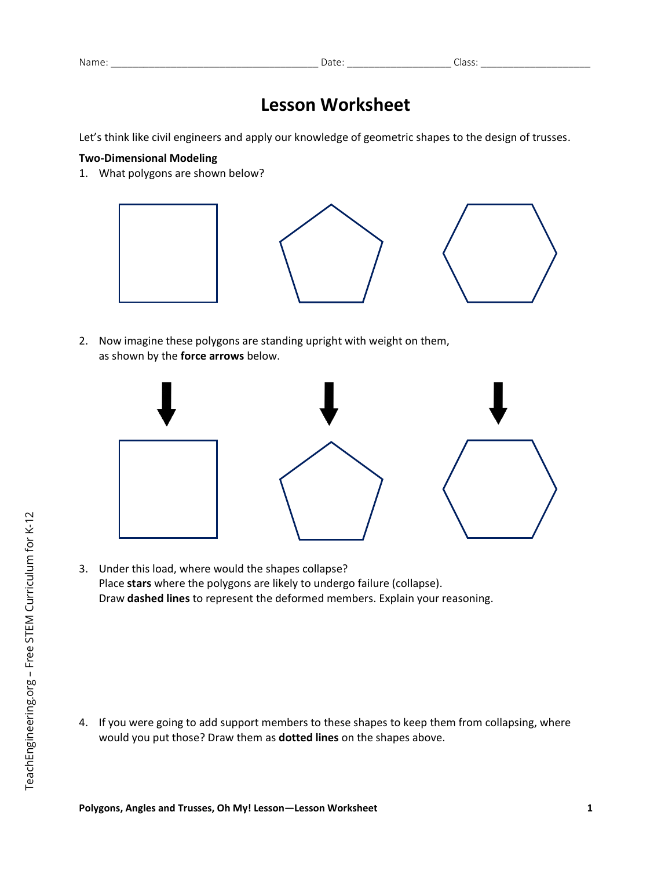## **Lesson Worksheet**

Let's think like civil engineers and apply our knowledge of geometric shapes to the design of trusses.

## **Two-Dimensional Modeling**

1. What polygons are shown below?



2. Now imagine these polygons are standing upright with weight on them, as shown by the **force arrows** below.



3. Under this load, where would the shapes collapse? Place **stars** where the polygons are likely to undergo failure (collapse). Draw **dashed lines** to represent the deformed members. Explain your reasoning.

4. If you were going to add support members to these shapes to keep them from collapsing, where would you put those? Draw them as **dotted lines** on the shapes above.

TeachEngineering.org - Free STEM Curriculum for K-12 TeachEngineering.org – Free STEM Curriculum for K-12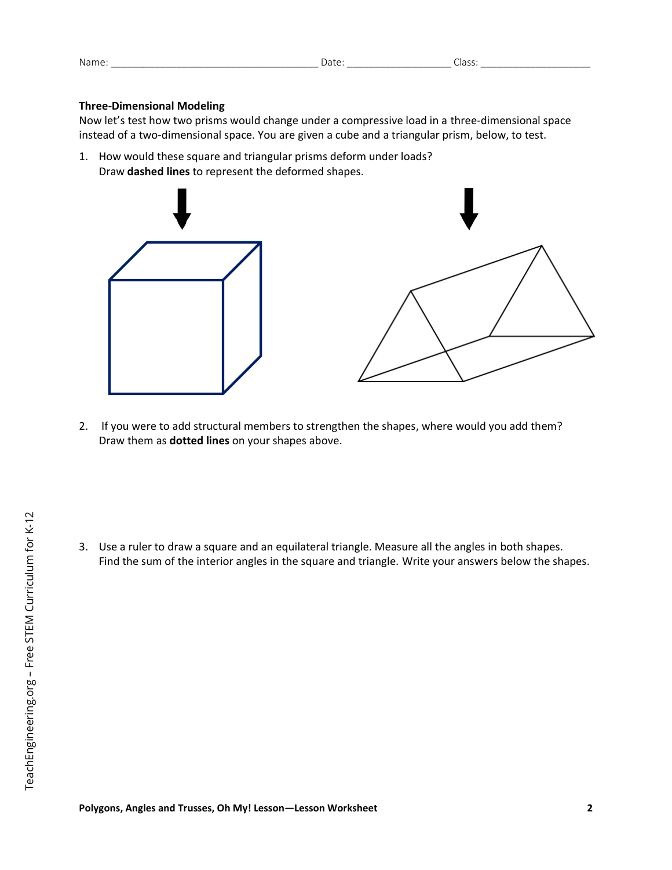| Na |  |
|----|--|
|    |  |

## **Three-Dimensional Modeling**

Now let's test how two prisms would change under a compressive load in a three-dimensional space instead of a two-dimensional space. You are given a cube and a triangular prism, below, to test.

1. How would these square and triangular prisms deform under loads? Draw **dashed lines** to represent the deformed shapes.



2. If you were to add structural members to strengthen the shapes, where would you add them? Draw them as **dotted lines** on your shapes above.

3. Use a ruler to draw a square and an equilateral triangle. Measure all the angles in both shapes. Find the sum of the interior angles in the square and triangle. Write your answers below the shapes.